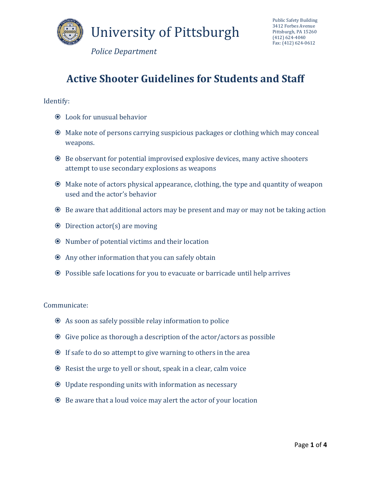

*Police Department*

## **Active Shooter Guidelines for Students and Staff**

Identify: 

- Look for unusual behavior
- $\odot$  Make note of persons carrying suspicious packages or clothing which may conceal weapons.
- $\odot$  Be observant for potential improvised explosive devices, many active shooters attempt to use secondary explosions as weapons
- $\odot$  Make note of actors physical appearance, clothing, the type and quantity of weapon used and the actor's behavior
- $\odot$  Be aware that additional actors may be present and may or may not be taking action
- $\odot$  Direction actor(s) are moving
- $\odot$  Number of potential victims and their location
- $\odot$  Any other information that you can safely obtain
- Possible safe locations for you to evacuate or barricade until help arrives

Communicate: 

- $\odot$  As soon as safely possible relay information to police
- $\odot$  Give police as thorough a description of the actor/actors as possible
- $\odot$  If safe to do so attempt to give warning to others in the area
- $\odot$  Resist the urge to yell or shout, speak in a clear, calm voice
- $\odot$  Update responding units with information as necessary
- $\odot$  Be aware that a loud voice may alert the actor of your location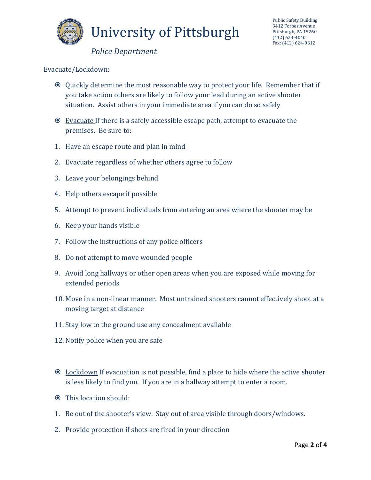

## *Police Department*

Evacuate/Lockdown: 

- $\odot$  Quickly determine the most reasonable way to protect your life. Remember that if you take action others are likely to follow your lead during an active shooter situation. Assist others in your immediate area if you can do so safely
- $\odot$  Evacuate If there is a safely accessible escape path, attempt to evacuate the premises. Be sure to:
- 1. Have an escape route and plan in mind
- 2. Evacuate regardless of whether others agree to follow
- 3. Leave your belongings behind
- 4. Help others escape if possible
- 5. Attempt to prevent individuals from entering an area where the shooter may be
- 6. Keep your hands visible
- 7. Follow the instructions of any police officers
- 8. Do not attempt to move wounded people
- 9. Avoid long hallways or other open areas when you are exposed while moving for extended periods
- 10. Move in a non-linear manner. Most untrained shooters cannot effectively shoot at a moving target at distance
- 11. Stay low to the ground use any concealment available
- 12. Notify police when you are safe
- $\odot$  Lockdown If evacuation is not possible, find a place to hide where the active shooter is less likely to find you. If you are in a hallway attempt to enter a room.
- **☉** This location should:
- 1. Be out of the shooter's view. Stay out of area visible through doors/windows.
- 2. Provide protection if shots are fired in your direction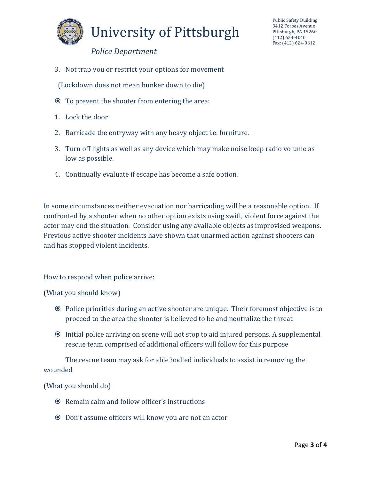

## University of Pittsburgh

Public Safety Building 3412 Forbes Avenue Pittsburgh, PA 15260 (412) 624‐4040 Fax: (412) 624-0612

*Police Department*

3. Not trap you or restrict your options for movement

(Lockdown does not mean hunker down to die)

- $\odot$  To prevent the shooter from entering the area:
- 1. Lock the door
- 2. Barricade the entryway with any heavy object i.e. furniture.
- 3. Turn off lights as well as any device which may make noise keep radio volume as low as possible.
- 4. Continually evaluate if escape has become a safe option.

In some circumstances neither evacuation nor barricading will be a reasonable option. If confronted by a shooter when no other option exists using swift, violent force against the actor may end the situation. Consider using any available objects as improvised weapons. Previous active shooter incidents have shown that unarmed action against shooters can and has stopped violent incidents.

How to respond when police arrive:

(What you should know)

- Police priorities during an active shooter are unique. Their foremost objective is to proceed to the area the shooter is believed to be and neutralize the threat
- $\odot$  Initial police arriving on scene will not stop to aid injured persons. A supplemental rescue team comprised of additional officers will follow for this purpose

The rescue team may ask for able bodied individuals to assist in removing the wounded 

(What you should do)

- $\odot$  Remain calm and follow officer's instructions
- $\odot$  Don't assume officers will know you are not an actor